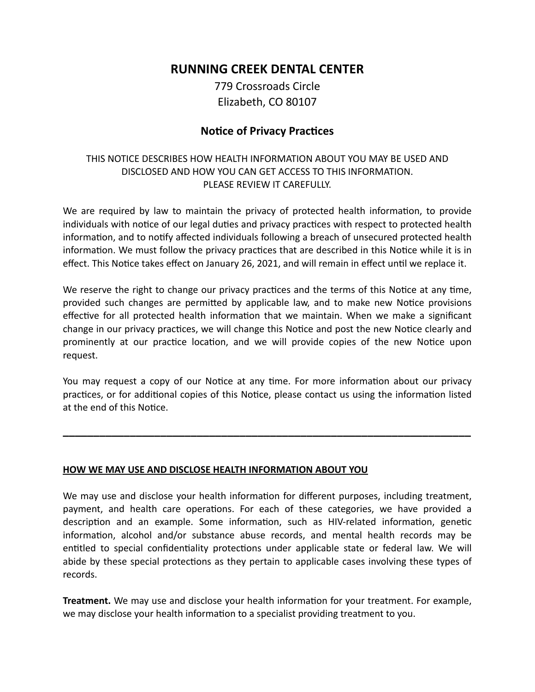# **RUNNING CREEK DENTAL CENTER**

779 Crossroads Circle Elizabeth, CO 80107

### **Notice of Privacy Practices**

### THIS NOTICE DESCRIBES HOW HEALTH INFORMATION ABOUT YOU MAY BE USED AND DISCLOSED AND HOW YOU CAN GET ACCESS TO THIS INFORMATION. PLEASE REVIEW IT CAREFULLY.

We are required by law to maintain the privacy of protected health information, to provide individuals with notice of our legal duties and privacy practices with respect to protected health information, and to notify affected individuals following a breach of unsecured protected health information. We must follow the privacy practices that are described in this Notice while it is in effect. This Notice takes effect on January 26, 2021, and will remain in effect until we replace it.

We reserve the right to change our privacy practices and the terms of this Notice at any time, provided such changes are permitted by applicable law, and to make new Notice provisions effective for all protected health information that we maintain. When we make a significant change in our privacy practices, we will change this Notice and post the new Notice clearly and prominently at our practice location, and we will provide copies of the new Notice upon request.

You may request a copy of our Notice at any time. For more information about our privacy practices, or for additional copies of this Notice, please contact us using the information listed at the end of this Notice.

**\_\_\_\_\_\_\_\_\_\_\_\_\_\_\_\_\_\_\_\_\_\_\_\_\_\_\_\_\_\_\_\_\_\_\_\_\_\_\_\_\_\_\_\_\_\_\_\_\_\_\_\_\_\_\_\_\_\_\_\_\_\_\_\_\_\_\_**

#### **HOW WE MAY USE AND DISCLOSE HEALTH INFORMATION ABOUT YOU**

We may use and disclose your health information for different purposes, including treatment, payment, and health care operations. For each of these categories, we have provided a description and an example. Some information, such as HIV-related information, genetic information, alcohol and/or substance abuse records, and mental health records may be entitled to special confidentiality protections under applicable state or federal law. We will abide by these special protections as they pertain to applicable cases involving these types of records.

**Treatment.** We may use and disclose your health information for your treatment. For example, we may disclose your health information to a specialist providing treatment to you.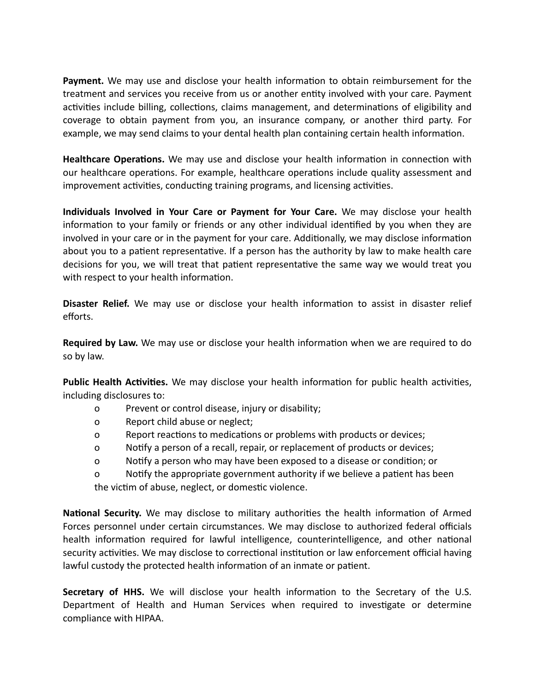**Payment.** We may use and disclose your health information to obtain reimbursement for the treatment and services you receive from us or another entity involved with your care. Payment activities include billing, collections, claims management, and determinations of eligibility and coverage to obtain payment from you, an insurance company, or another third party. For example, we may send claims to your dental health plan containing certain health information.

**Healthcare Operations.** We may use and disclose your health information in connection with our healthcare operations. For example, healthcare operations include quality assessment and improvement activities, conducting training programs, and licensing activities.

**Individuals Involved in Your Care or Payment for Your Care.** We may disclose your health information to your family or friends or any other individual identified by you when they are involved in your care or in the payment for your care. Additionally, we may disclose information about you to a patient representative. If a person has the authority by law to make health care decisions for you, we will treat that patient representative the same way we would treat you with respect to your health information.

**Disaster Relief.** We may use or disclose your health information to assist in disaster relief efforts.

**Required by Law.** We may use or disclose your health information when we are required to do so by law.

**Public Health Activities.** We may disclose your health information for public health activities, including disclosures to:

- o Prevent or control disease, injury or disability;
- o Report child abuse or neglect;
- o Report reactions to medications or problems with products or devices;
- o Notify a person of a recall, repair, or replacement of products or devices;
- o Notify a person who may have been exposed to a disease or condition; or

o Notify the appropriate government authority if we believe a patient has been the victim of abuse, neglect, or domestic violence.

**National Security.** We may disclose to military authorities the health information of Armed Forces personnel under certain circumstances. We may disclose to authorized federal officials health information required for lawful intelligence, counterintelligence, and other national security activities. We may disclose to correctional institution or law enforcement official having lawful custody the protected health information of an inmate or patient.

**Secretary of HHS.** We will disclose your health information to the Secretary of the U.S. Department of Health and Human Services when required to investigate or determine compliance with HIPAA.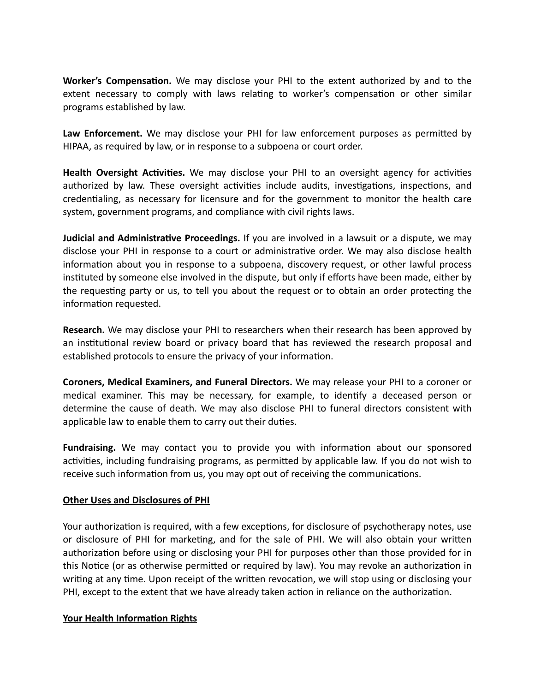**Worker's Compensation.** We may disclose your PHI to the extent authorized by and to the extent necessary to comply with laws relating to worker's compensation or other similar programs established by law.

**Law Enforcement.** We may disclose your PHI for law enforcement purposes as permitted by HIPAA, as required by law, or in response to a subpoena or court order.

**Health Oversight Activities.** We may disclose your PHI to an oversight agency for activities authorized by law. These oversight activities include audits, investigations, inspections, and credentialing, as necessary for licensure and for the government to monitor the health care system, government programs, and compliance with civil rights laws.

**Judicial and Administrative Proceedings.** If you are involved in a lawsuit or a dispute, we may disclose your PHI in response to a court or administrative order. We may also disclose health information about you in response to a subpoena, discovery request, or other lawful process instituted by someone else involved in the dispute, but only if efforts have been made, either by the requesting party or us, to tell you about the request or to obtain an order protecting the information requested.

**Research.** We may disclose your PHI to researchers when their research has been approved by an institutional review board or privacy board that has reviewed the research proposal and established protocols to ensure the privacy of your information.

**Coroners, Medical Examiners, and Funeral Directors.** We may release your PHI to a coroner or medical examiner. This may be necessary, for example, to identify a deceased person or determine the cause of death. We may also disclose PHI to funeral directors consistent with applicable law to enable them to carry out their duties.

**Fundraising.** We may contact you to provide you with information about our sponsored activities, including fundraising programs, as permitted by applicable law. If you do not wish to receive such information from us, you may opt out of receiving the communications.

#### **Other Uses and Disclosures of PHI**

Your authorization is required, with a few exceptions, for disclosure of psychotherapy notes, use or disclosure of PHI for marketing, and for the sale of PHI. We will also obtain your written authorization before using or disclosing your PHI for purposes other than those provided for in this Notice (or as otherwise permitted or required by law). You may revoke an authorization in writing at any time. Upon receipt of the written revocation, we will stop using or disclosing your PHI, except to the extent that we have already taken action in reliance on the authorization.

#### **Your Health Information Rights**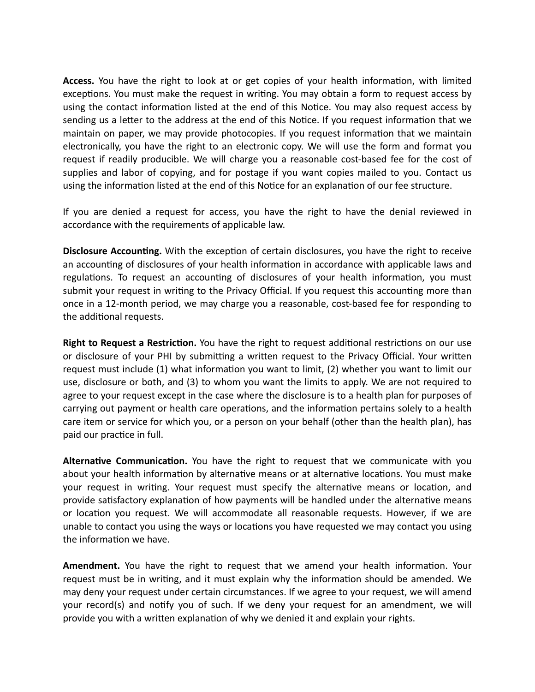**Access.** You have the right to look at or get copies of your health information, with limited exceptions. You must make the request in writing. You may obtain a form to request access by using the contact information listed at the end of this Notice. You may also request access by sending us a letter to the address at the end of this Notice. If you request information that we maintain on paper, we may provide photocopies. If you request information that we maintain electronically, you have the right to an electronic copy. We will use the form and format you request if readily producible. We will charge you a reasonable cost-based fee for the cost of supplies and labor of copying, and for postage if you want copies mailed to you. Contact us using the information listed at the end of this Notice for an explanation of our fee structure.

If you are denied a request for access, you have the right to have the denial reviewed in accordance with the requirements of applicable law.

**Disclosure Accounting.** With the exception of certain disclosures, you have the right to receive an accounting of disclosures of your health information in accordance with applicable laws and regulations. To request an accounting of disclosures of your health information, you must submit your request in writing to the Privacy Official. If you request this accounting more than once in a 12-month period, we may charge you a reasonable, cost-based fee for responding to the additional requests.

**Right to Request a Restriction.** You have the right to request additional restrictions on our use or disclosure of your PHI by submitting a written request to the Privacy Official. Your written request must include (1) what information you want to limit, (2) whether you want to limit our use, disclosure or both, and (3) to whom you want the limits to apply. We are not required to agree to your request except in the case where the disclosure is to a health plan for purposes of carrying out payment or health care operations, and the information pertains solely to a health care item or service for which you, or a person on your behalf (other than the health plan), has paid our practice in full.

**Alternative Communication.** You have the right to request that we communicate with you about your health information by alternative means or at alternative locations. You must make your request in writing. Your request must specify the alternative means or location, and provide satisfactory explanation of how payments will be handled under the alternative means or location you request. We will accommodate all reasonable requests. However, if we are unable to contact you using the ways or locations you have requested we may contact you using the information we have.

**Amendment.** You have the right to request that we amend your health information. Your request must be in writing, and it must explain why the information should be amended. We may deny your request under certain circumstances. If we agree to your request, we will amend your record(s) and notify you of such. If we deny your request for an amendment, we will provide you with a written explanation of why we denied it and explain your rights.